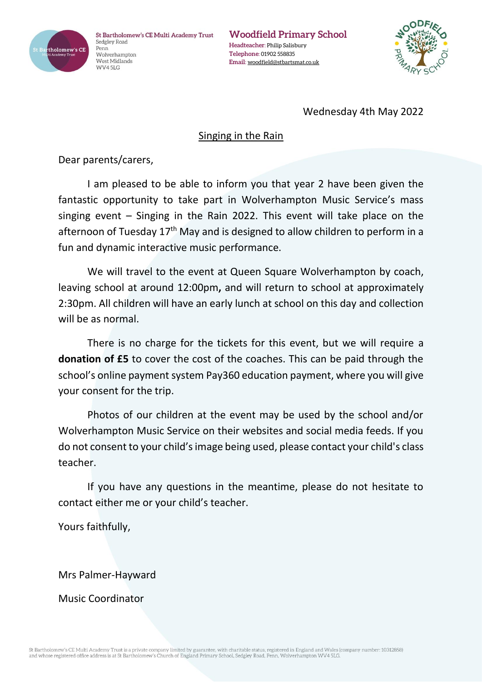

St Bartholomew's CE Multi Academy Trust Sedgley Road Penn Wolverhampton West Midlands WV45LG

**Woodfield Primary School Headteacher**: Philip Salisbury **Telephone**: 01902 558835 **Email**: [woodfield@stbartsmat.co.uk](mailto:woodfield@stbartsmat.co.uk)



## Wednesday 4th May 2022

## Singing in the Rain

Dear parents/carers,

I am pleased to be able to inform you that year 2 have been given the fantastic opportunity to take part in Wolverhampton Music Service's mass singing event – Singing in the Rain 2022. This event will take place on the afternoon of Tuesday  $17<sup>th</sup>$  May and is designed to allow children to perform in a fun and dynamic interactive music performance.

We will travel to the event at Queen Square Wolverhampton by coach, leaving school at around 12:00pm**,** and will return to school at approximately 2:30pm. All children will have an early lunch at school on this day and collection will be as normal.

There is no charge for the tickets for this event, but we will require a **donation of £5** to cover the cost of the coaches. This can be paid through the school's online payment system Pay360 education payment, where you will give your consent for the trip.

Photos of our children at the event may be used by the school and/or Wolverhampton Music Service on their websites and social media feeds. If you do not consent to your child's image being used, please contact your child's class teacher.

If you have any questions in the meantime, please do not hesitate to contact either me or your child's teacher.

Yours faithfully,

Mrs Palmer-Hayward

Music Coordinator